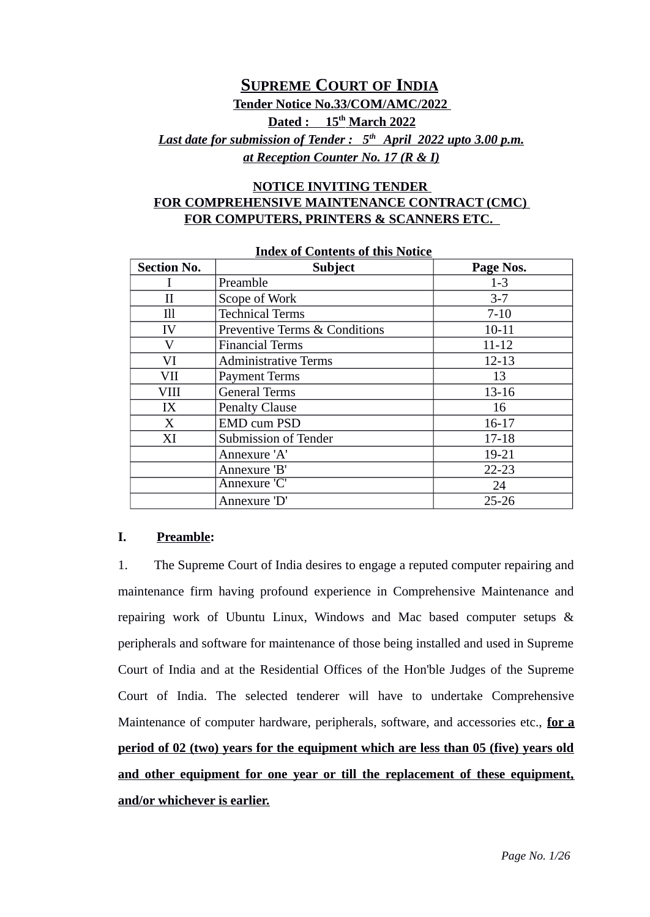# **SUPREME COURT OF INDIA Tender Notice No.33/COM/AMC/2022 Dated : 15th March 2022**  *Last date for submission of Tender : 5th April 2022 upto 3.00 p.m. at Reception Counter No. 17 (R & I)*

## **NOTICE INVITING TENDER FOR COMPREHENSIVE MAINTENANCE CONTRACT (CMC) FOR COMPUTERS, PRINTERS & SCANNERS ETC.**

| <b>Section No.</b> | <b>Subject</b>                           | Page Nos. |
|--------------------|------------------------------------------|-----------|
|                    | Preamble                                 | $1-3$     |
| $_{II}$            | Scope of Work                            | $3 - 7$   |
| Ill                | <b>Technical Terms</b>                   | $7 - 10$  |
| IV                 | <b>Preventive Terms &amp; Conditions</b> | $10 - 11$ |
| V                  | <b>Financial Terms</b>                   | $11 - 12$ |
| VI                 | <b>Administrative Terms</b>              | $12 - 13$ |
| VII                | <b>Payment Terms</b>                     | 13        |
| VIII               | <b>General Terms</b>                     | 13-16     |
| IX                 | <b>Penalty Clause</b>                    | 16        |
| X                  | <b>EMD cum PSD</b>                       | $16 - 17$ |
| XI                 | Submission of Tender                     | $17 - 18$ |
|                    | Annexure 'A'                             | 19-21     |
|                    | Annexure 'B'                             | $22 - 23$ |
|                    | Annexure 'C'                             | 24        |
|                    | Annexure 'D'                             | $25 - 26$ |

#### **Index of Contents of this Notice**

#### **I. Preamble:**

1. The Supreme Court of India desires to engage a reputed computer repairing and maintenance firm having profound experience in Comprehensive Maintenance and repairing work of Ubuntu Linux, Windows and Mac based computer setups & peripherals and software for maintenance of those being installed and used in Supreme Court of India and at the Residential Offices of the Hon'ble Judges of the Supreme Court of India. The selected tenderer will have to undertake Comprehensive Maintenance of computer hardware, peripherals, software, and accessories etc., **for a period of 02 (two) years for the equipment which are less than 05 (five) years old and other equipment for one year or till the replacement of these equipment, and/or whichever is earlier.**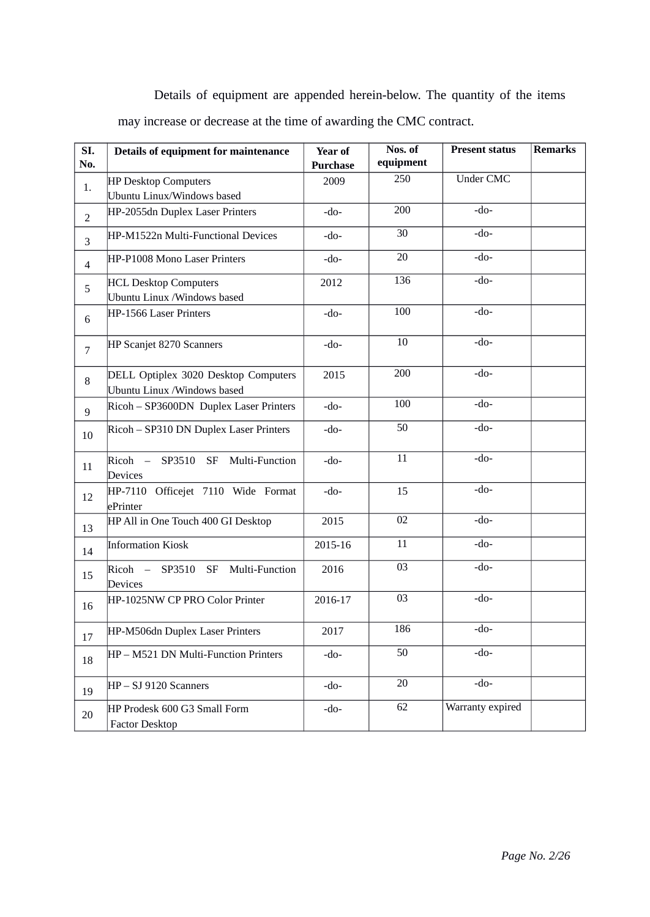Details of equipment are appended herein-below. The quantity of the items may increase or decrease at the time of awarding the CMC contract.

| SI.<br>No.               | Details of equipment for maintenance                                 | <b>Year of</b><br><b>Purchase</b> | Nos. of<br>equipment | <b>Present status</b> | <b>Remarks</b> |
|--------------------------|----------------------------------------------------------------------|-----------------------------------|----------------------|-----------------------|----------------|
|                          | HP Desktop Computers                                                 | 2009                              | 250                  | <b>Under CMC</b>      |                |
| 1.                       | Ubuntu Linux/Windows based                                           |                                   |                      |                       |                |
| $\overline{2}$           | HP-2055dn Duplex Laser Printers                                      | $-do-$                            | 200                  | -do-                  |                |
| 3                        | HP-M1522n Multi-Functional Devices                                   | $-do-$                            | 30                   | -do-                  |                |
| $\overline{\mathcal{A}}$ | HP-P1008 Mono Laser Printers                                         | $-do-$                            | 20                   | $-do-$                |                |
| 5                        | <b>HCL Desktop Computers</b><br>Ubuntu Linux / Windows based         | 2012                              | 136                  | $-do-$                |                |
| 6                        | HP-1566 Laser Printers                                               | $-do-$                            | 100                  | $-do-$                |                |
| $\overline{7}$           | HP Scanjet 8270 Scanners                                             | $-do-$                            | 10                   | $-do-$                |                |
| 8                        | DELL Optiplex 3020 Desktop Computers<br>Ubuntu Linux / Windows based | 2015                              | 200                  | -do-                  |                |
| 9                        | Ricoh - SP3600DN Duplex Laser Printers                               | -do-                              | 100                  | $-do-$                |                |
| 10                       | Ricoh - SP310 DN Duplex Laser Printers                               | -do-                              | 50                   | $-do-$                |                |
| 11                       | Ricoh - SP3510 SF Multi-Function<br>Devices                          | $-do-$                            | 11                   | -do-                  |                |
| 12                       | HP-7110 Officejet 7110 Wide Format<br>ePrinter                       | $-do-$                            | 15                   | -do-                  |                |
| 13                       | HP All in One Touch 400 GI Desktop                                   | 2015                              | 02                   | $-do-$                |                |
| 14                       | <b>Information Kiosk</b>                                             | 2015-16                           | 11                   | -do-                  |                |
| 15                       | $Ricoh$ –<br>SP3510<br>SF<br>Multi-Function<br>Devices               | 2016                              | 03                   | -do-                  |                |
| 16                       | HP-1025NW CP PRO Color Printer                                       | 2016-17                           | 03                   | -do-                  |                |
| 17                       | HP-M506dn Duplex Laser Printers                                      | 2017                              | 186                  | -do-                  |                |
| 18                       | HP - M521 DN Multi-Function Printers                                 | $-do-$                            | 50                   | $-do-$                |                |
| 19                       | $HP - SJ 9120$ Scanners                                              | $-do-$                            | 20                   | -do-                  |                |
| 20                       | HP Prodesk 600 G3 Small Form<br><b>Factor Desktop</b>                | -do-                              | 62                   | Warranty expired      |                |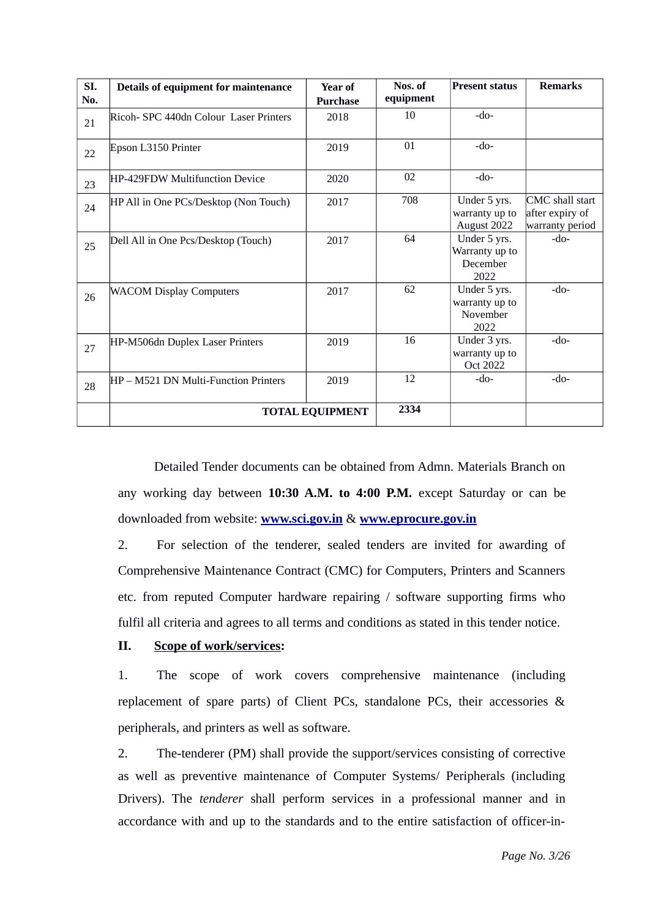| SI. | Details of equipment for maintenance         | <b>Year of</b>  | Nos. of   | <b>Present status</b>                              | <b>Remarks</b>                                        |
|-----|----------------------------------------------|-----------------|-----------|----------------------------------------------------|-------------------------------------------------------|
| No. |                                              | <b>Purchase</b> | equipment |                                                    |                                                       |
| 21  | Ricoh- SPC 440dn Colour Laser Printers       | 2018            | 10        | $-do-$                                             |                                                       |
| 22  | Epson L3150 Printer                          | 2019            | 01        | -do-                                               |                                                       |
| 23  | HP-429FDW Multifunction Device               | 2020            | 02        | $-do-$                                             |                                                       |
| 24  | HP All in One PCs/Desktop (Non Touch)        | 2017            | 708       | Under 5 yrs.<br>warranty up to<br>August 2022      | CMC shall start<br>after expiry of<br>warranty period |
| 25  | Dell All in One Pcs/Desktop (Touch)          | 2017            | 64        | Under 5 yrs.<br>Warranty up to<br>December<br>2022 | $-do-$                                                |
| 26  | <b>WACOM Display Computers</b>               | 2017            | 62        | Under 5 yrs.<br>warranty up to<br>November<br>2022 | $-do-$                                                |
| 27  | HP-M506dn Duplex Laser Printers              | 2019            | 16        | Under 3 yrs.<br>warranty up to<br>Oct 2022         | $-do-$                                                |
| 28  | HP – M521 DN Multi-Function Printers<br>2019 |                 | 12        | -do-                                               | $-do-$                                                |
|     | <b>TOTAL EQUIPMENT</b>                       | 2334            |           |                                                    |                                                       |

Detailed Tender documents can be obtained from Admn. Materials Branch on any working day between **10:30 A.M. to 4:00 P.M.** except Saturday or can be downloaded from website: **[www.sci.gov.in](http://www.sci.gov.in/)** & **[www.eprocure.gov.in](http://www.eprocure.gov.in/)**

2. For selection of the tenderer, sealed tenders are invited for awarding of Comprehensive Maintenance Contract (CMC) for Computers, Printers and Scanners etc. from reputed Computer hardware repairing / software supporting firms who fulfil all criteria and agrees to all terms and conditions as stated in this tender notice.

#### **II. Scope of work/services:**

1. The scope of work covers comprehensive maintenance (including replacement of spare parts) of Client PCs, standalone PCs, their accessories & peripherals, and printers as well as software.

2. The-tenderer (PM) shall provide the support/services consisting of corrective as well as preventive maintenance of Computer Systems/ Peripherals (including Drivers). The *tenderer* shall perform services in a professional manner and in accordance with and up to the standards and to the entire satisfaction of officer-in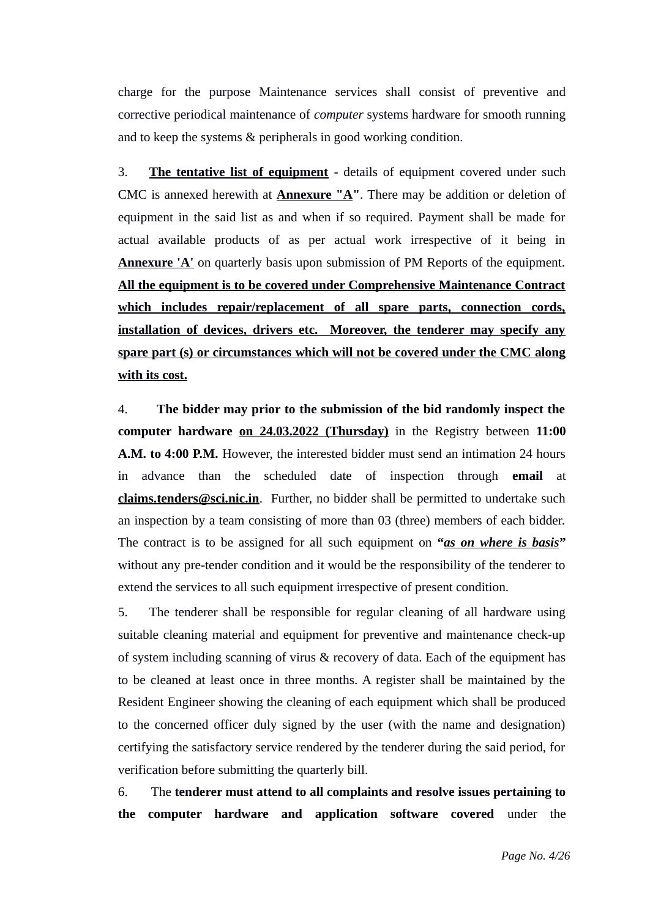charge for the purpose Maintenance services shall consist of preventive and corrective periodical maintenance of *computer* systems hardware for smooth running and to keep the systems & peripherals in good working condition.

3. **The tentative list of equipment** - details of equipment covered under such CMC is annexed herewith at **Annexure "A"**. There may be addition or deletion of equipment in the said list as and when if so required. Payment shall be made for actual available products of as per actual work irrespective of it being in **Annexure 'A'** on quarterly basis upon submission of PM Reports of the equipment. **All the equipment is to be covered under Comprehensive Maintenance Contract which includes repair/replacement of all spare parts, connection cords, installation of devices, drivers etc. Moreover, the tenderer may specify any spare part (s) or circumstances which will not be covered under the CMC along with its cost.**

4. **The bidder may prior to the submission of the bid randomly inspect the computer hardware on 24.03.2022 (Thursday)** in the Registry between **11:00 A.M. to 4:00 P.M.** However, the interested bidder must send an intimation 24 hours in advance than the scheduled date of inspection through **email** at **[claims.tenders@sci.nic.in](mailto:claims.tenders@sci.nic.in)**. Further, no bidder shall be permitted to undertake such an inspection by a team consisting of more than 03 (three) members of each bidder. The contract is to be assigned for all such equipment on **"***as on where is basis***"** without any pre-tender condition and it would be the responsibility of the tenderer to extend the services to all such equipment irrespective of present condition.

5. The tenderer shall be responsible for regular cleaning of all hardware using suitable cleaning material and equipment for preventive and maintenance check-up of system including scanning of virus & recovery of data. Each of the equipment has to be cleaned at least once in three months. A register shall be maintained by the Resident Engineer showing the cleaning of each equipment which shall be produced to the concerned officer duly signed by the user (with the name and designation) certifying the satisfactory service rendered by the tenderer during the said period, for verification before submitting the quarterly bill.

6.The **tenderer must attend to all complaints and resolve issues pertaining to the computer hardware and application software covered** under the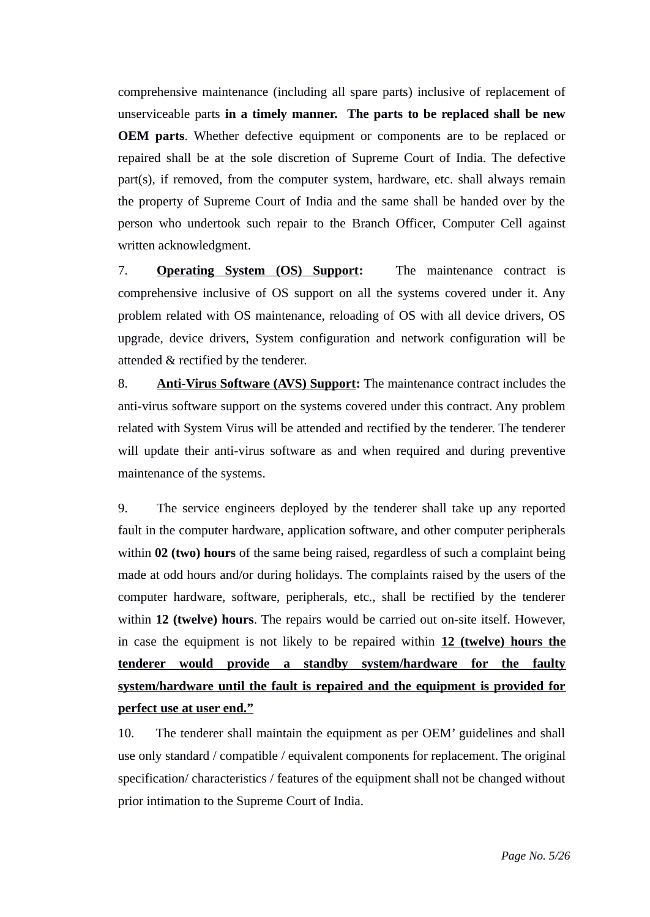comprehensive maintenance (including all spare parts) inclusive of replacement of unserviceable parts **in a timely manner. The parts to be replaced shall be new OEM parts**. Whether defective equipment or components are to be replaced or repaired shall be at the sole discretion of Supreme Court of India. The defective part(s), if removed, from the computer system, hardware, etc. shall always remain the property of Supreme Court of India and the same shall be handed over by the person who undertook such repair to the Branch Officer, Computer Cell against written acknowledgment.

7. **Operating System (OS) Support:** The maintenance contract is comprehensive inclusive of OS support on all the systems covered under it. Any problem related with OS maintenance, reloading of OS with all device drivers, OS upgrade, device drivers, System configuration and network configuration will be attended & rectified by the tenderer.

8. **Anti-Virus Software (AVS) Support:** The maintenance contract includes the anti-virus software support on the systems covered under this contract. Any problem related with System Virus will be attended and rectified by the tenderer. The tenderer will update their anti-virus software as and when required and during preventive maintenance of the systems.

9. The service engineers deployed by the tenderer shall take up any reported fault in the computer hardware, application software, and other computer peripherals within **02 (two) hours** of the same being raised, regardless of such a complaint being made at odd hours and/or during holidays. The complaints raised by the users of the computer hardware, software, peripherals, etc., shall be rectified by the tenderer within **12 (twelve) hours**. The repairs would be carried out on-site itself. However, in case the equipment is not likely to be repaired within **12 (twelve) hours the tenderer would provide a standby system/hardware for the faulty system/hardware until the fault is repaired and the equipment is provided for perfect use at user end."**

10. The tenderer shall maintain the equipment as per OEM' guidelines and shall use only standard / compatible / equivalent components for replacement. The original specification/ characteristics / features of the equipment shall not be changed without prior intimation to the Supreme Court of India.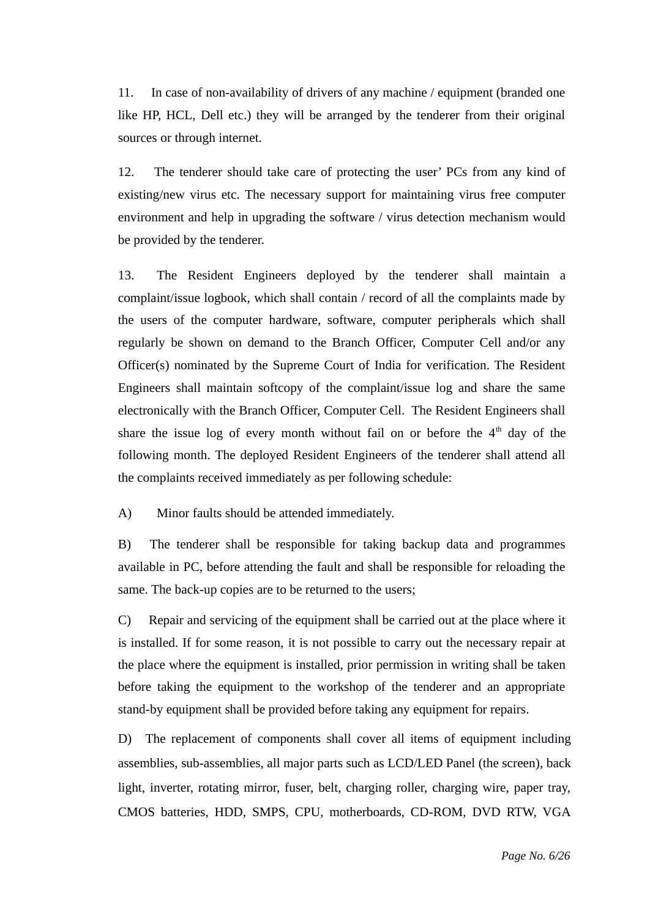11. In case of non-availability of drivers of any machine / equipment (branded one like HP, HCL, Dell etc.) they will be arranged by the tenderer from their original sources or through internet.

12. The tenderer should take care of protecting the user' PCs from any kind of existing/new virus etc. The necessary support for maintaining virus free computer environment and help in upgrading the software / virus detection mechanism would be provided by the tenderer.

13. The Resident Engineers deployed by the tenderer shall maintain a complaint/issue logbook, which shall contain / record of all the complaints made by the users of the computer hardware, software, computer peripherals which shall regularly be shown on demand to the Branch Officer, Computer Cell and/or any Officer(s) nominated by the Supreme Court of India for verification. The Resident Engineers shall maintain softcopy of the complaint/issue log and share the same electronically with the Branch Officer, Computer Cell. The Resident Engineers shall share the issue log of every month without fail on or before the  $4<sup>th</sup>$  day of the following month. The deployed Resident Engineers of the tenderer shall attend all the complaints received immediately as per following schedule:

A) Minor faults should be attended immediately.

B) The tenderer shall be responsible for taking backup data and programmes available in PC, before attending the fault and shall be responsible for reloading the same. The back-up copies are to be returned to the users;

C) Repair and servicing of the equipment shall be carried out at the place where it is installed. If for some reason, it is not possible to carry out the necessary repair at the place where the equipment is installed, prior permission in writing shall be taken before taking the equipment to the workshop of the tenderer and an appropriate stand-by equipment shall be provided before taking any equipment for repairs.

D) The replacement of components shall cover all items of equipment including assemblies, sub-assemblies, all major parts such as LCD/LED Panel (the screen), back light, inverter, rotating mirror, fuser, belt, charging roller, charging wire, paper tray, CMOS batteries, HDD, SMPS, CPU, motherboards, CD-ROM, DVD RTW, VGA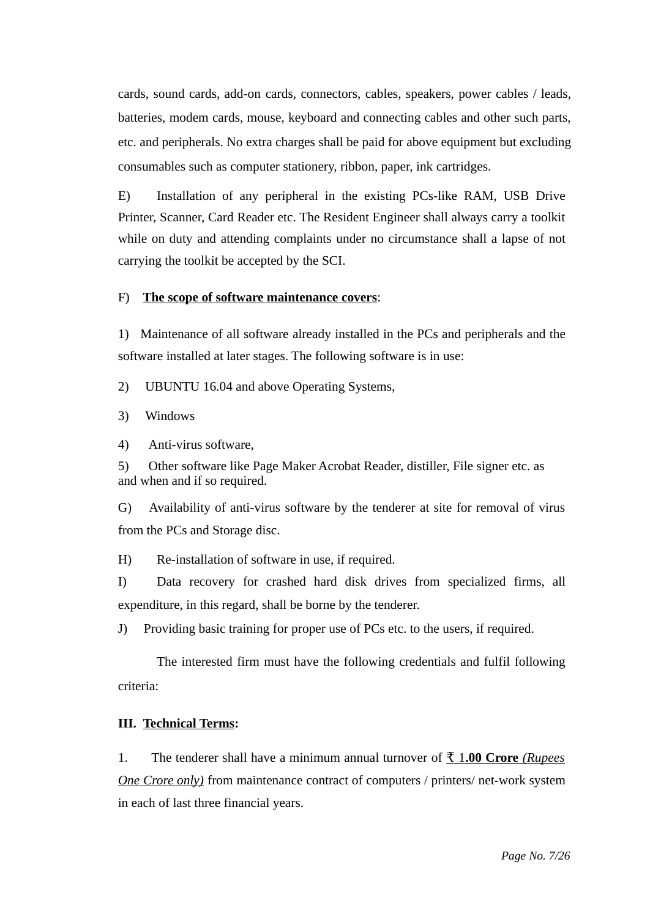cards, sound cards, add-on cards, connectors, cables, speakers, power cables / leads, batteries, modem cards, mouse, keyboard and connecting cables and other such parts, etc. and peripherals. No extra charges shall be paid for above equipment but excluding consumables such as computer stationery, ribbon, paper, ink cartridges.

E) Installation of any peripheral in the existing PCs-like RAM, USB Drive Printer, Scanner, Card Reader etc. The Resident Engineer shall always carry a toolkit while on duty and attending complaints under no circumstance shall a lapse of not carrying the toolkit be accepted by the SCI.

#### F) **The scope of software maintenance covers**:

1) Maintenance of all software already installed in the PCs and peripherals and the software installed at later stages. The following software is in use:

2) UBUNTU 16.04 and above Operating Systems,

3) Windows

4) Anti-virus software,

5) Other software like Page Maker Acrobat Reader, distiller, File signer etc. as and when and if so required.

G) Availability of anti-virus software by the tenderer at site for removal of virus from the PCs and Storage disc.

H) Re-installation of software in use, if required.

I) Data recovery for crashed hard disk drives from specialized firms, all expenditure, in this regard, shall be borne by the tenderer.

J) Providing basic training for proper use of PCs etc. to the users, if required.

The interested firm must have the following credentials and fulfil following criteria:

#### **III. Technical Terms:**

1. The tenderer shall have a minimum annual turnover of ₹ 1 **.00 Crore** *(Rupees One Crore only)* from maintenance contract of computers / printers/ net-work system in each of last three financial years.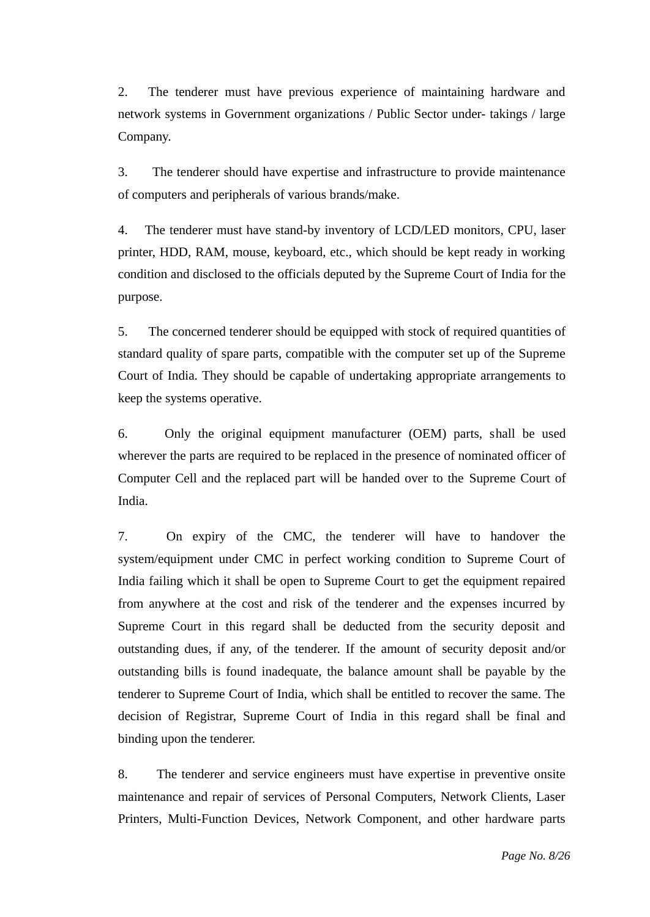2. The tenderer must have previous experience of maintaining hardware and network systems in Government organizations / Public Sector under- takings / large Company.

3. The tenderer should have expertise and infrastructure to provide maintenance of computers and peripherals of various brands/make.

4. The tenderer must have stand-by inventory of LCD/LED monitors, CPU, laser printer, HDD, RAM, mouse, keyboard, etc., which should be kept ready in working condition and disclosed to the officials deputed by the Supreme Court of India for the purpose.

5. The concerned tenderer should be equipped with stock of required quantities of standard quality of spare parts, compatible with the computer set up of the Supreme Court of India. They should be capable of undertaking appropriate arrangements to keep the systems operative.

6. Only the original equipment manufacturer (OEM) parts, shall be used wherever the parts are required to be replaced in the presence of nominated officer of Computer Cell and the replaced part will be handed over to the Supreme Court of India.

7. On expiry of the CMC, the tenderer will have to handover the system/equipment under CMC in perfect working condition to Supreme Court of India failing which it shall be open to Supreme Court to get the equipment repaired from anywhere at the cost and risk of the tenderer and the expenses incurred by Supreme Court in this regard shall be deducted from the security deposit and outstanding dues, if any, of the tenderer. If the amount of security deposit and/or outstanding bills is found inadequate, the balance amount shall be payable by the tenderer to Supreme Court of India, which shall be entitled to recover the same. The decision of Registrar, Supreme Court of India in this regard shall be final and binding upon the tenderer.

8. The tenderer and service engineers must have expertise in preventive onsite maintenance and repair of services of Personal Computers, Network Clients, Laser Printers, Multi-Function Devices, Network Component, and other hardware parts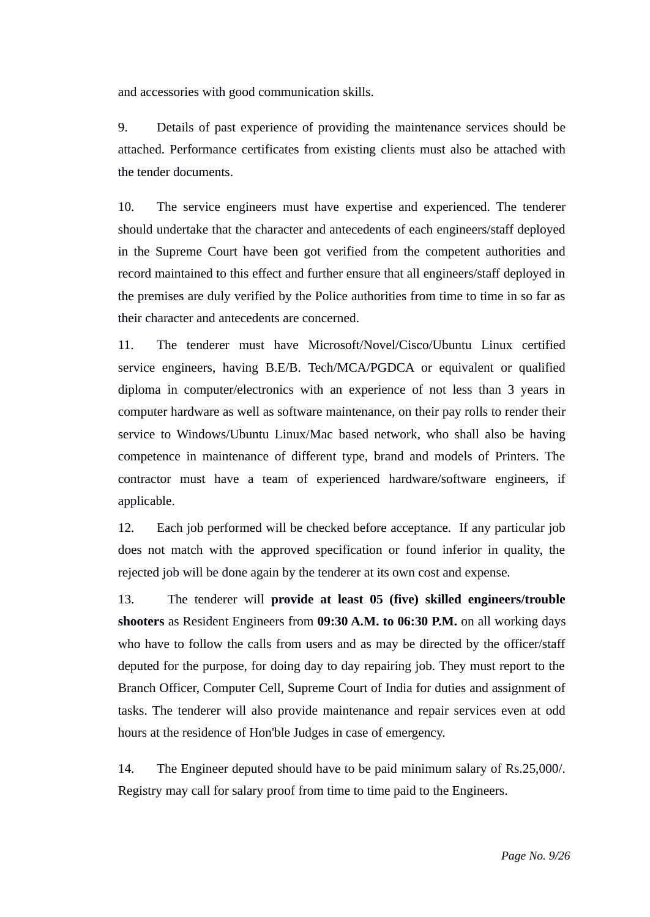and accessories with good communication skills.

9. Details of past experience of providing the maintenance services should be attached. Performance certificates from existing clients must also be attached with the tender documents.

10. The service engineers must have expertise and experienced. The tenderer should undertake that the character and antecedents of each engineers/staff deployed in the Supreme Court have been got verified from the competent authorities and record maintained to this effect and further ensure that all engineers/staff deployed in the premises are duly verified by the Police authorities from time to time in so far as their character and antecedents are concerned.

11. The tenderer must have Microsoft/Novel/Cisco/Ubuntu Linux certified service engineers, having B.E/B. Tech/MCA/PGDCA or equivalent or qualified diploma in computer/electronics with an experience of not less than 3 years in computer hardware as well as software maintenance, on their pay rolls to render their service to Windows/Ubuntu Linux/Mac based network, who shall also be having competence in maintenance of different type, brand and models of Printers. The contractor must have a team of experienced hardware/software engineers, if applicable.

12. Each job performed will be checked before acceptance. If any particular job does not match with the approved specification or found inferior in quality, the rejected job will be done again by the tenderer at its own cost and expense.

13. The tenderer will **provide at least 05 (five) skilled engineers/trouble shooters** as Resident Engineers from **09:30 A.M. to 06:30 P.M.** on all working days who have to follow the calls from users and as may be directed by the officer/staff deputed for the purpose, for doing day to day repairing job. They must report to the Branch Officer, Computer Cell, Supreme Court of India for duties and assignment of tasks. The tenderer will also provide maintenance and repair services even at odd hours at the residence of Hon'ble Judges in case of emergency.

14. The Engineer deputed should have to be paid minimum salary of Rs.25,000/. Registry may call for salary proof from time to time paid to the Engineers.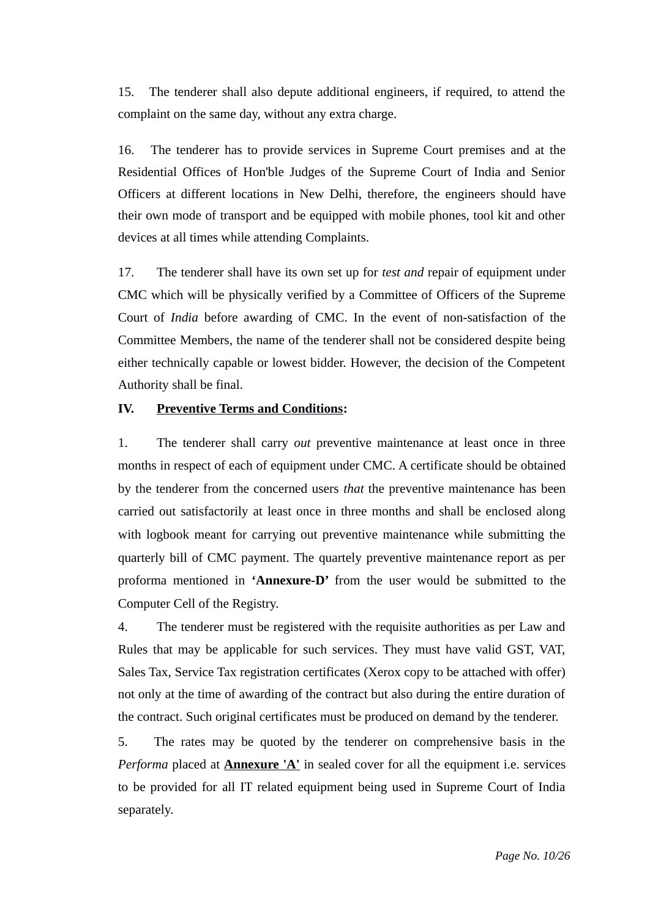15. The tenderer shall also depute additional engineers, if required, to attend the complaint on the same day, without any extra charge.

16. The tenderer has to provide services in Supreme Court premises and at the Residential Offices of Hon'ble Judges of the Supreme Court of India and Senior Officers at different locations in New Delhi, therefore, the engineers should have their own mode of transport and be equipped with mobile phones, tool kit and other devices at all times while attending Complaints.

17. The tenderer shall have its own set up for *test and* repair of equipment under CMC which will be physically verified by a Committee of Officers of the Supreme Court of *India* before awarding of CMC. In the event of non-satisfaction of the Committee Members, the name of the tenderer shall not be considered despite being either technically capable or lowest bidder. However, the decision of the Competent Authority shall be final.

## **IV. Preventive Terms and Conditions:**

1. The tenderer shall carry *out* preventive maintenance at least once in three months in respect of each of equipment under CMC. A certificate should be obtained by the tenderer from the concerned users *that* the preventive maintenance has been carried out satisfactorily at least once in three months and shall be enclosed along with logbook meant for carrying out preventive maintenance while submitting the quarterly bill of CMC payment. The quartely preventive maintenance report as per proforma mentioned in **'Annexure-D'** from the user would be submitted to the Computer Cell of the Registry.

4. The tenderer must be registered with the requisite authorities as per Law and Rules that may be applicable for such services. They must have valid GST, VAT, Sales Tax, Service Tax registration certificates (Xerox copy to be attached with offer) not only at the time of awarding of the contract but also during the entire duration of the contract. Such original certificates must be produced on demand by the tenderer.

5. The rates may be quoted by the tenderer on comprehensive basis in the *Performa* placed at **Annexure 'A'** in sealed cover for all the equipment i.e. services to be provided for all IT related equipment being used in Supreme Court of India separately.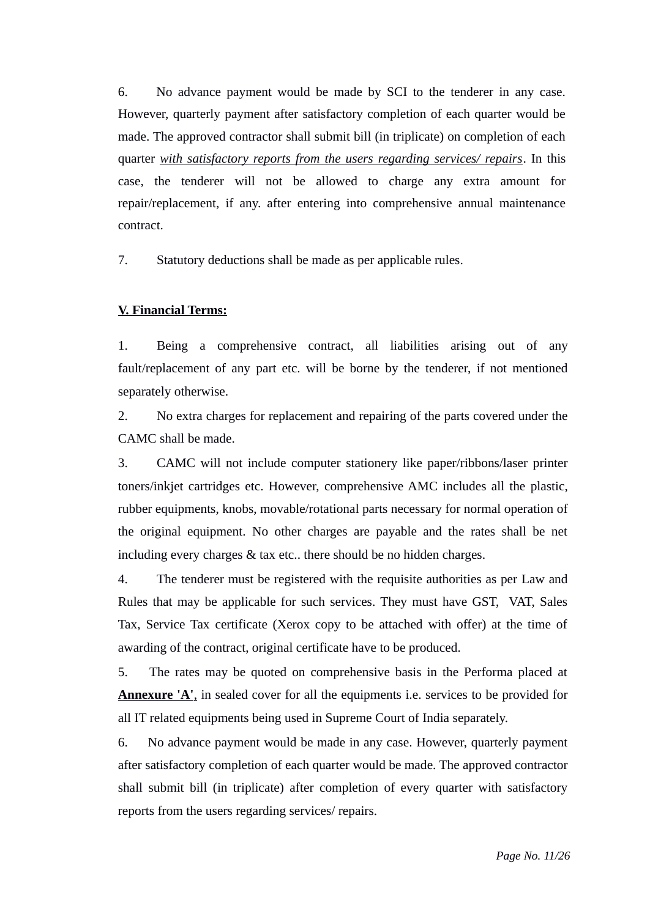6. No advance payment would be made by SCI to the tenderer in any case. However, quarterly payment after satisfactory completion of each quarter would be made. The approved contractor shall submit bill (in triplicate) on completion of each quarter *with satisfactory reports from the users regarding services/ repairs*. In this case, the tenderer will not be allowed to charge any extra amount for repair/replacement, if any. after entering into comprehensive annual maintenance contract.

7. Statutory deductions shall be made as per applicable rules.

## **V. Financial Terms:**

1. Being a comprehensive contract, all liabilities arising out of any fault/replacement of any part etc. will be borne by the tenderer, if not mentioned separately otherwise.

2. No extra charges for replacement and repairing of the parts covered under the CAMC shall be made.

3. CAMC will not include computer stationery like paper/ribbons/laser printer toners/inkjet cartridges etc. However, comprehensive AMC includes all the plastic, rubber equipments, knobs, movable/rotational parts necessary for normal operation of the original equipment. No other charges are payable and the rates shall be net including every charges & tax etc.. there should be no hidden charges.

4. The tenderer must be registered with the requisite authorities as per Law and Rules that may be applicable for such services. They must have GST, VAT, Sales Tax, Service Tax certificate (Xerox copy to be attached with offer) at the time of awarding of the contract, original certificate have to be produced.

5. The rates may be quoted on comprehensive basis in the Performa placed at  **Annexure 'A'**, in sealed cover for all the equipments i.e. services to be provided for all IT related equipments being used in Supreme Court of India separately.

6. No advance payment would be made in any case. However, quarterly payment after satisfactory completion of each quarter would be made. The approved contractor shall submit bill (in triplicate) after completion of every quarter with satisfactory reports from the users regarding services/ repairs.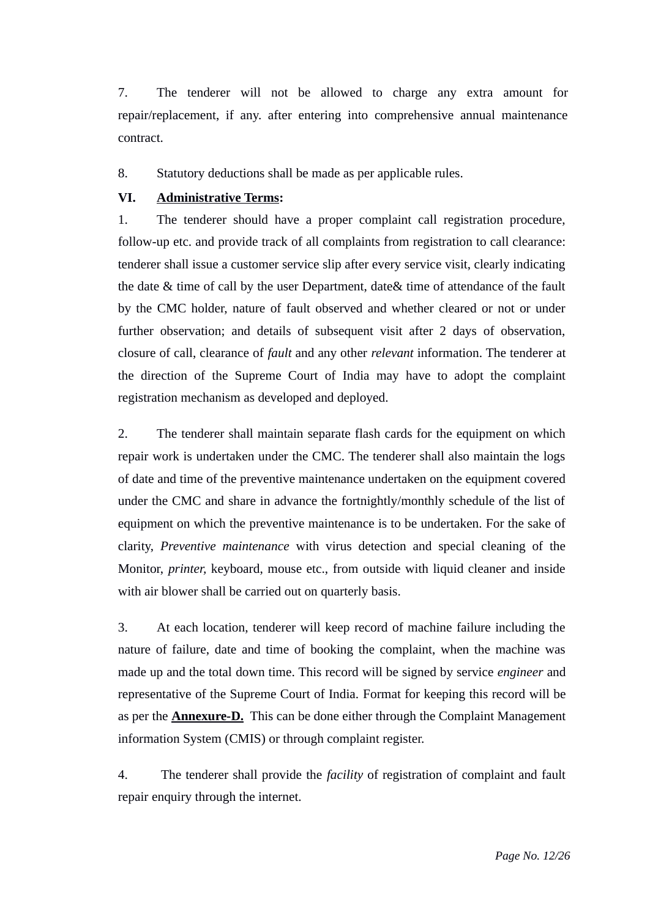7. The tenderer will not be allowed to charge any extra amount for repair/replacement, if any. after entering into comprehensive annual maintenance contract.

8. Statutory deductions shall be made as per applicable rules.

#### **VI. Administrative Terms:**

1. The tenderer should have a proper complaint call registration procedure, follow-up etc. and provide track of all complaints from registration to call clearance: tenderer shall issue a customer service slip after every service visit, clearly indicating the date & time of call by the user Department, date& time of attendance of the fault by the CMC holder, nature of fault observed and whether cleared or not or under further observation; and details of subsequent visit after 2 days of observation, closure of call, clearance of *fault* and any other *relevant* information. The tenderer at the direction of the Supreme Court of India may have to adopt the complaint registration mechanism as developed and deployed.

2. The tenderer shall maintain separate flash cards for the equipment on which repair work is undertaken under the CMC. The tenderer shall also maintain the logs of date and time of the preventive maintenance undertaken on the equipment covered under the CMC and share in advance the fortnightly/monthly schedule of the list of equipment on which the preventive maintenance is to be undertaken. For the sake of clarity, *Preventive maintenance* with virus detection and special cleaning of the Monitor, *printer,* keyboard, mouse etc., from outside with liquid cleaner and inside with air blower shall be carried out on quarterly basis.

3. At each location, tenderer will keep record of machine failure including the nature of failure, date and time of booking the complaint, when the machine was made up and the total down time. This record will be signed by service *engineer* and representative of the Supreme Court of India. Format for keeping this record will be as per the **Annexure-D.** This can be done either through the Complaint Management information System (CMIS) or through complaint register.

4. The tenderer shall provide the *facility* of registration of complaint and fault repair enquiry through the internet.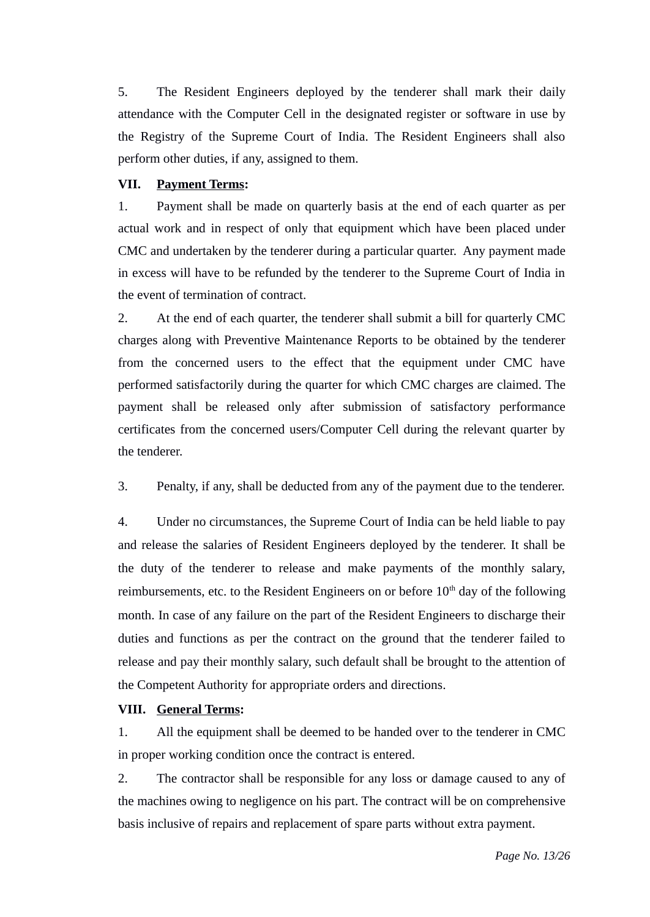5. The Resident Engineers deployed by the tenderer shall mark their daily attendance with the Computer Cell in the designated register or software in use by the Registry of the Supreme Court of India. The Resident Engineers shall also perform other duties, if any, assigned to them.

#### **VII. Payment Terms:**

1. Payment shall be made on quarterly basis at the end of each quarter as per actual work and in respect of only that equipment which have been placed under CMC and undertaken by the tenderer during a particular quarter. Any payment made in excess will have to be refunded by the tenderer to the Supreme Court of India in the event of termination of contract.

2. At the end of each quarter, the tenderer shall submit a bill for quarterly CMC charges along with Preventive Maintenance Reports to be obtained by the tenderer from the concerned users to the effect that the equipment under CMC have performed satisfactorily during the quarter for which CMC charges are claimed. The payment shall be released only after submission of satisfactory performance certificates from the concerned users/Computer Cell during the relevant quarter by the tenderer.

3. Penalty, if any, shall be deducted from any of the payment due to the tenderer.

4. Under no circumstances, the Supreme Court of India can be held liable to pay and release the salaries of Resident Engineers deployed by the tenderer. It shall be the duty of the tenderer to release and make payments of the monthly salary, reimbursements, etc. to the Resident Engineers on or before  $10<sup>th</sup>$  day of the following month. In case of any failure on the part of the Resident Engineers to discharge their duties and functions as per the contract on the ground that the tenderer failed to release and pay their monthly salary, such default shall be brought to the attention of the Competent Authority for appropriate orders and directions.

## **VIII. General Terms:**

1. All the equipment shall be deemed to be handed over to the tenderer in CMC in proper working condition once the contract is entered.

2. The contractor shall be responsible for any loss or damage caused to any of the machines owing to negligence on his part. The contract will be on comprehensive basis inclusive of repairs and replacement of spare parts without extra payment.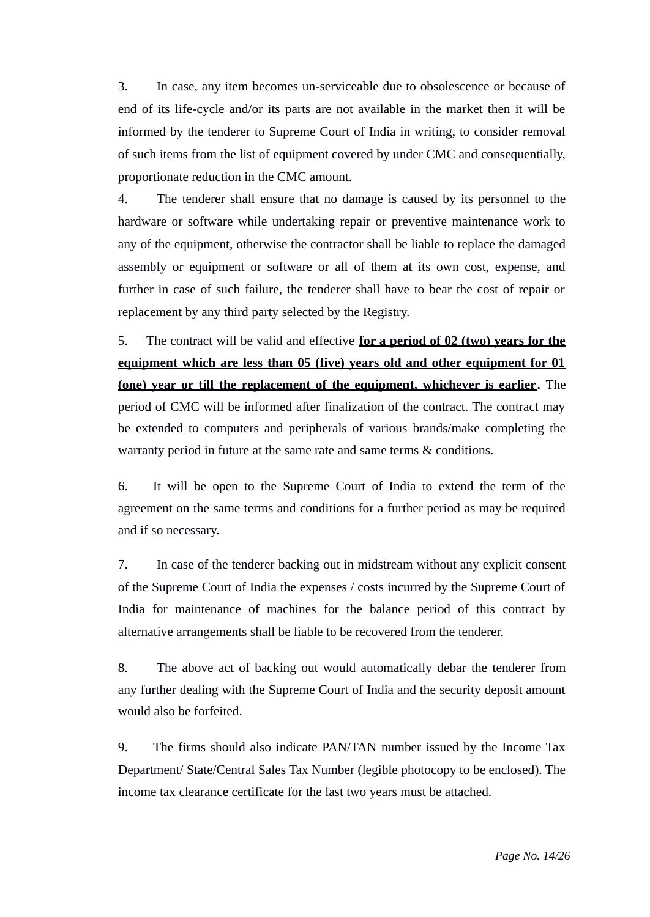3. In case, any item becomes un-serviceable due to obsolescence or because of end of its life-cycle and/or its parts are not available in the market then it will be informed by the tenderer to Supreme Court of India in writing, to consider removal of such items from the list of equipment covered by under CMC and consequentially, proportionate reduction in the CMC amount.

4. The tenderer shall ensure that no damage is caused by its personnel to the hardware or software while undertaking repair or preventive maintenance work to any of the equipment, otherwise the contractor shall be liable to replace the damaged assembly or equipment or software or all of them at its own cost, expense, and further in case of such failure, the tenderer shall have to bear the cost of repair or replacement by any third party selected by the Registry.

5. The contract will be valid and effective **for a period of 02 (two) years for the equipment which are less than 05 (five) years old and other equipment for 01 (one) year or till the replacement of the equipment, whichever is earlier.** The period of CMC will be informed after finalization of the contract. The contract may be extended to computers and peripherals of various brands/make completing the warranty period in future at the same rate and same terms & conditions.

6.It will be open to the Supreme Court of India to extend the term of the agreement on the same terms and conditions for a further period as may be required and if so necessary.

7. In case of the tenderer backing out in midstream without any explicit consent of the Supreme Court of India the expenses / costs incurred by the Supreme Court of India for maintenance of machines for the balance period of this contract by alternative arrangements shall be liable to be recovered from the tenderer.

8. The above act of backing out would automatically debar the tenderer from any further dealing with the Supreme Court of India and the security deposit amount would also be forfeited.

9. The firms should also indicate PAN/TAN number issued by the Income Tax Department/ State/Central Sales Tax Number (legible photocopy to be enclosed). The income tax clearance certificate for the last two years must be attached.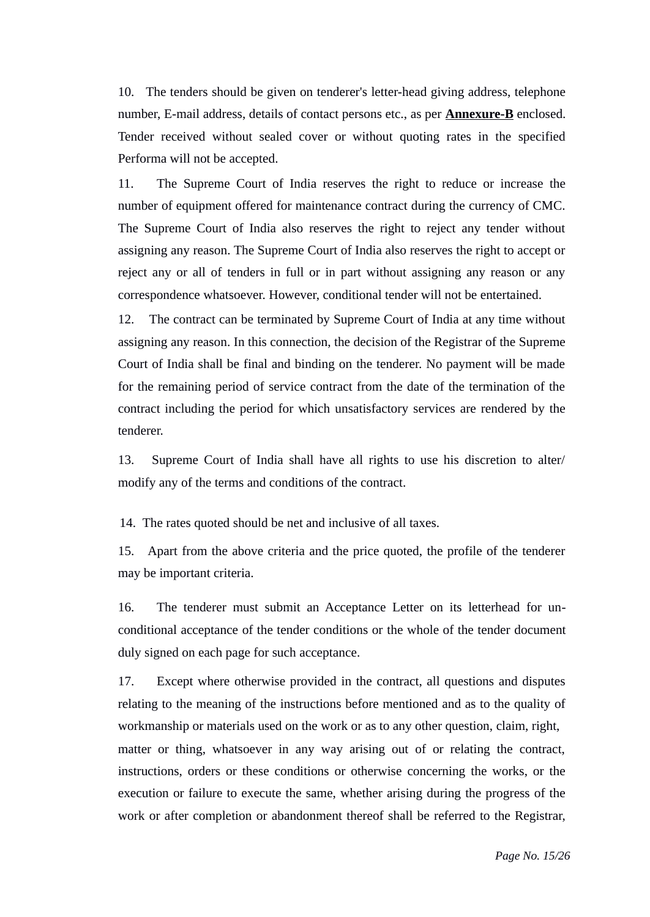10. The tenders should be given on tenderer's letter-head giving address, telephone number, E-mail address, details of contact persons etc., as per **Annexure-B** enclosed. Tender received without sealed cover or without quoting rates in the specified Performa will not be accepted.

11. The Supreme Court of India reserves the right to reduce or increase the number of equipment offered for maintenance contract during the currency of CMC. The Supreme Court of India also reserves the right to reject any tender without assigning any reason. The Supreme Court of India also reserves the right to accept or reject any or all of tenders in full or in part without assigning any reason or any correspondence whatsoever. However, conditional tender will not be entertained.

12. The contract can be terminated by Supreme Court of India at any time without assigning any reason. In this connection, the decision of the Registrar of the Supreme Court of India shall be final and binding on the tenderer. No payment will be made for the remaining period of service contract from the date of the termination of the contract including the period for which unsatisfactory services are rendered by the tenderer.

13. Supreme Court of India shall have all rights to use his discretion to alter/ modify any of the terms and conditions of the contract.

14. The rates quoted should be net and inclusive of all taxes.

15. Apart from the above criteria and the price quoted, the profile of the tenderer may be important criteria.

16. The tenderer must submit an Acceptance Letter on its letterhead for unconditional acceptance of the tender conditions or the whole of the tender document duly signed on each page for such acceptance.

17. Except where otherwise provided in the contract, all questions and disputes relating to the meaning of the instructions before mentioned and as to the quality of workmanship or materials used on the work or as to any other question, claim, right, matter or thing, whatsoever in any way arising out of or relating the contract, instructions, orders or these conditions or otherwise concerning the works, or the execution or failure to execute the same, whether arising during the progress of the work or after completion or abandonment thereof shall be referred to the Registrar,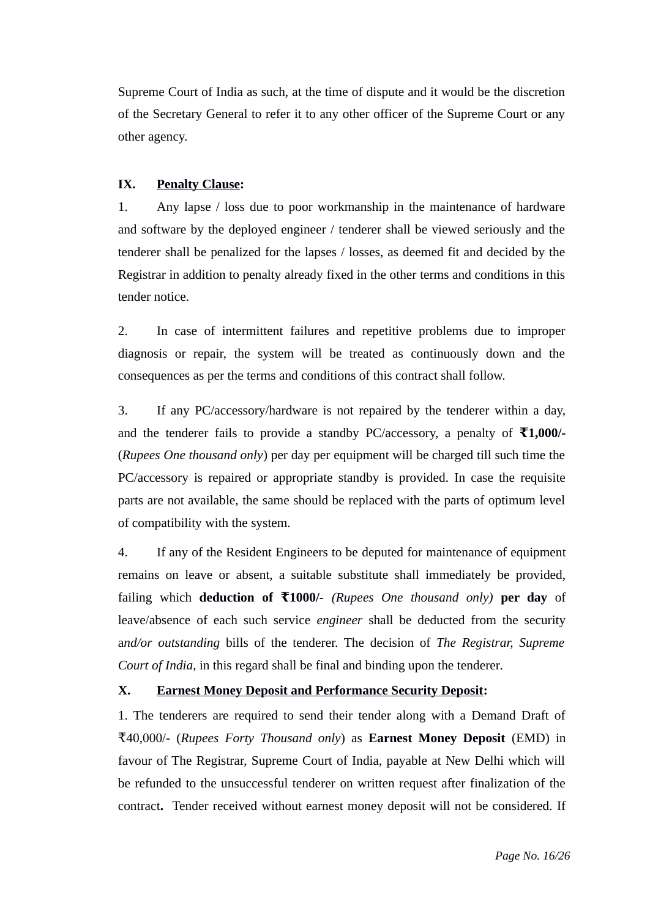Supreme Court of India as such, at the time of dispute and it would be the discretion of the Secretary General to refer it to any other officer of the Supreme Court or any other agency.

## **IX. Penalty Clause:**

1. Any lapse / loss due to poor workmanship in the maintenance of hardware and software by the deployed engineer / tenderer shall be viewed seriously and the tenderer shall be penalized for the lapses / losses, as deemed fit and decided by the Registrar in addition to penalty already fixed in the other terms and conditions in this tender notice.

2. In case of intermittent failures and repetitive problems due to improper diagnosis or repair, the system will be treated as continuously down and the consequences as per the terms and conditions of this contract shall follow.

3. If any PC/accessory/hardware is not repaired by the tenderer within a day, and the tenderer fails to provide a standby PC/accessory, a penalty of **₹1,000/-** (*Rupees One thousand only*) per day per equipment will be charged till such time the PC/accessory is repaired or appropriate standby is provided. In case the requisite parts are not available, the same should be replaced with the parts of optimum level of compatibility with the system.

4. If any of the Resident Engineers to be deputed for maintenance of equipment remains on leave or absent, a suitable substitute shall immediately be provided, failing which **deduction of 1000/- ₹** *(Rupees One thousand only)* **per day** of leave/absence of each such service *engineer* shall be deducted from the security a*nd/or outstanding* bills of the tenderer. The decision of *The Registrar, Supreme Court of India,* in this regard shall be final and binding upon the tenderer*.*

## **X. Earnest Money Deposit and Performance Security Deposit:**

1. The tenderers are required to send their tender along with a Demand Draft of ₹40,000/- (*Rupees Forty Thousand only*) as **Earnest Money Deposit** (EMD) in favour of The Registrar, Supreme Court of India, payable at New Delhi which will be refunded to the unsuccessful tenderer on written request after finalization of the contract**.** Tender received without earnest money deposit will not be considered. If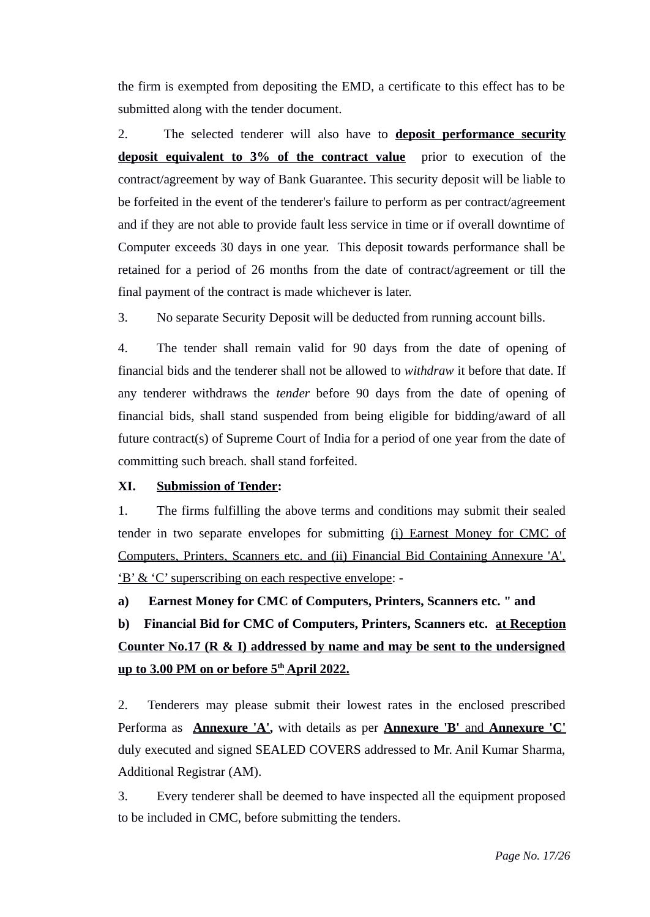the firm is exempted from depositing the EMD, a certificate to this effect has to be submitted along with the tender document.

2. The selected tenderer will also have to **deposit performance security deposit equivalent to 3% of the contract value** prior to execution of the contract/agreement by way of Bank Guarantee. This security deposit will be liable to be forfeited in the event of the tenderer's failure to perform as per contract/agreement and if they are not able to provide fault less service in time or if overall downtime of Computer exceeds 30 days in one year. This deposit towards performance shall be retained for a period of 26 months from the date of contract/agreement or till the final payment of the contract is made whichever is later.

3. No separate Security Deposit will be deducted from running account bills.

4. The tender shall remain valid for 90 days from the date of opening of financial bids and the tenderer shall not be allowed to *withdraw* it before that date. If any tenderer withdraws the *tender* before 90 days from the date of opening of financial bids, shall stand suspended from being eligible for bidding/award of all future contract(s) of Supreme Court of India for a period of one year from the date of committing such breach. shall stand forfeited.

## **XI. Submission of Tender:**

1. The firms fulfilling the above terms and conditions may submit their sealed tender in two separate envelopes for submitting (i) Earnest Money for CMC of Computers, Printers, Scanners etc. and (ii) Financial Bid Containing Annexure 'A', 'B' & 'C' superscribing on each respective envelope: -

**a) Earnest Money for CMC of Computers, Printers, Scanners etc. " and**

**b) Financial Bid for CMC of Computers, Printers, Scanners etc. at Reception Counter No.17 (R & I) addressed by name and may be sent to the undersigned up to 3.00 PM on or before 5th April 2022.**

2. Tenderers may please submit their lowest rates in the enclosed prescribed Performa as **Annexure 'A',** with details as per **Annexure 'B'** and **Annexure 'C'** duly executed and signed SEALED COVERS addressed to Mr. Anil Kumar Sharma, Additional Registrar (AM).

3. Every tenderer shall be deemed to have inspected all the equipment proposed to be included in CMC, before submitting the tenders.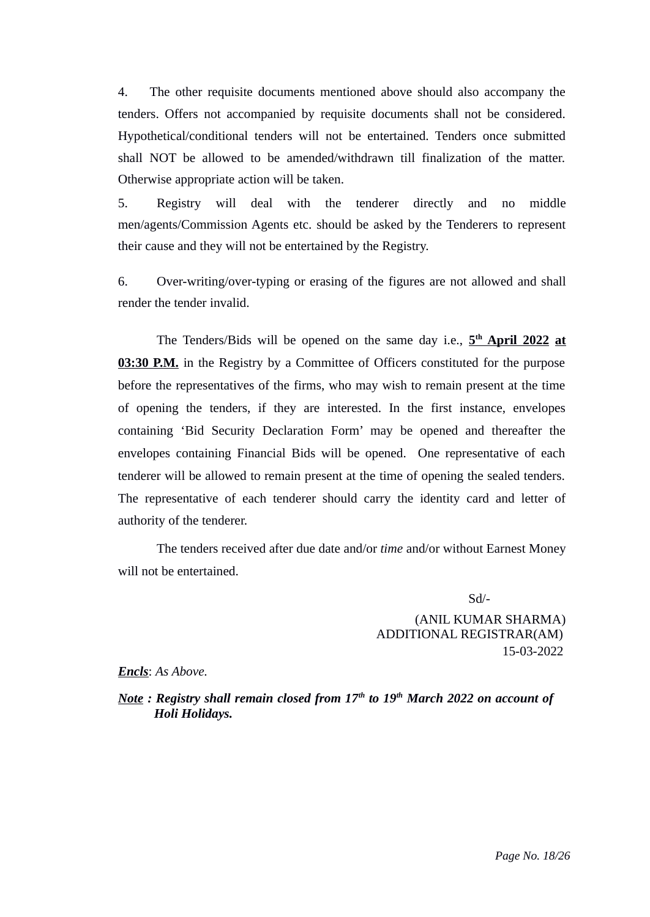4. The other requisite documents mentioned above should also accompany the tenders. Offers not accompanied by requisite documents shall not be considered. Hypothetical/conditional tenders will not be entertained. Tenders once submitted shall NOT be allowed to be amended/withdrawn till finalization of the matter. Otherwise appropriate action will be taken.

5. Registry will deal with the tenderer directly and no middle men/agents/Commission Agents etc. should be asked by the Tenderers to represent their cause and they will not be entertained by the Registry.

6. Over-writing/over-typing or erasing of the figures are not allowed and shall render the tender invalid.

The Tenders/Bids will be opened on the same day i.e.,  $5^{\text{th}}$  **April 2022 at 03:30 P.M.** in the Registry by a Committee of Officers constituted for the purpose before the representatives of the firms, who may wish to remain present at the time of opening the tenders, if they are interested. In the first instance, envelopes containing 'Bid Security Declaration Form' may be opened and thereafter the envelopes containing Financial Bids will be opened. One representative of each tenderer will be allowed to remain present at the time of opening the sealed tenders. The representative of each tenderer should carry the identity card and letter of authority of the tenderer.

The tenders received after due date and/or *time* and/or without Earnest Money will not be entertained.

Sd/-

 (ANIL KUMAR SHARMA) ADDITIONAL REGISTRAR(AM) 15-03-2022

*Encls*: *As Above.*

*Note : Registry shall remain closed from 17th to 19th March 2022 on account of Holi Holidays.*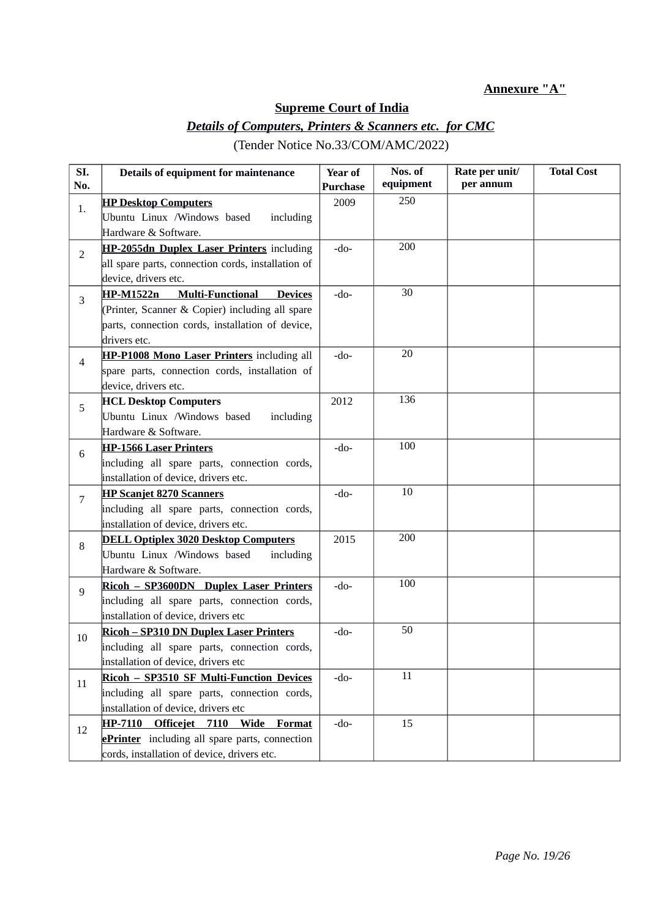#### **Annexure "A"**

# **Supreme Court of India**

# *Details of Computers, Printers & Scanners etc. for CMC*

| SI.<br>No.     | Details of equipment for maintenance                                                                                                          | <b>Year of</b><br><b>Purchase</b> | Nos. of<br>equipment | Rate per unit/<br>per annum | <b>Total Cost</b> |
|----------------|-----------------------------------------------------------------------------------------------------------------------------------------------|-----------------------------------|----------------------|-----------------------------|-------------------|
| 1.             | <b>HP Desktop Computers</b><br>Ubuntu Linux /Windows based<br>including                                                                       | 2009                              | 250                  |                             |                   |
|                | Hardware & Software.<br>HP-2055dn Duplex Laser Printers including                                                                             | $-do-$                            | 200                  |                             |                   |
| 2              | all spare parts, connection cords, installation of<br>device, drivers etc.                                                                    |                                   |                      |                             |                   |
| 3              | <b>HP-M1522n</b><br><b>Multi-Functional</b><br><b>Devices</b><br>(Printer, Scanner & Copier) including all spare                              | $-do-$                            | $30\,$               |                             |                   |
|                | parts, connection cords, installation of device,<br>drivers etc.                                                                              |                                   |                      |                             |                   |
| 4              | HP-P1008 Mono Laser Printers including all<br>spare parts, connection cords, installation of<br>device, drivers etc.                          | -do-                              | 20                   |                             |                   |
| 5              | <b>HCL Desktop Computers</b><br>Ubuntu Linux /Windows based<br>including<br>Hardware & Software.                                              | 2012                              | 136                  |                             |                   |
| 6              | <b>HP-1566 Laser Printers</b><br>including all spare parts, connection cords,<br>installation of device, drivers etc.                         | $-do-$                            | 100                  |                             |                   |
| $\overline{7}$ | <b>HP Scanjet 8270 Scanners</b><br>including all spare parts, connection cords,<br>installation of device, drivers etc.                       | $-do-$                            | 10                   |                             |                   |
| 8              | <b>DELL Optiplex 3020 Desktop Computers</b><br>Ubuntu Linux /Windows based<br>including<br>Hardware & Software.                               | 2015                              | 200                  |                             |                   |
| 9              | Ricoh - SP3600DN Duplex Laser Printers<br>including all spare parts, connection cords,<br>installation of device, drivers etc                 | $-do-$                            | 100                  |                             |                   |
| 10             | <b>Ricoh - SP310 DN Duplex Laser Printers</b><br>including all spare parts, connection cords,<br>installation of device, drivers etc          | $-do-$                            | 50                   |                             |                   |
| 11             | Ricoh - SP3510 SF Multi-Function Devices<br>including all spare parts, connection cords,<br>installation of device, drivers etc               | $-do-$                            | $11\,$               |                             |                   |
| 12             | Officejet 7110 Wide Format<br>HP-7110<br><b>ePrinter</b> including all spare parts, connection<br>cords, installation of device, drivers etc. | $-do-$                            | 15                   |                             |                   |

(Tender Notice No.33/COM/AMC/2022)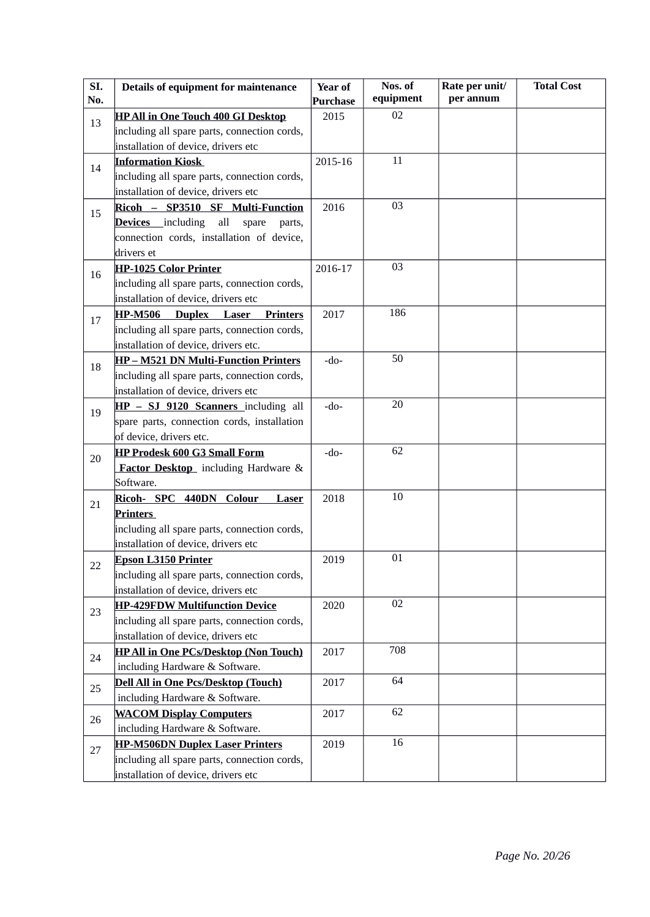| SI.<br>No. | Details of equipment for maintenance                                         | <b>Year of</b><br><b>Purchase</b> | Nos. of<br>equipment | Rate per unit/<br>per annum | <b>Total Cost</b> |
|------------|------------------------------------------------------------------------------|-----------------------------------|----------------------|-----------------------------|-------------------|
|            | <b>HP All in One Touch 400 GI Desktop</b>                                    | 2015                              | 02                   |                             |                   |
| 13         | including all spare parts, connection cords,                                 |                                   |                      |                             |                   |
|            | installation of device, drivers etc                                          |                                   |                      |                             |                   |
|            | <b>Information Kiosk</b>                                                     | 2015-16                           | 11                   |                             |                   |
| 14         | including all spare parts, connection cords,                                 |                                   |                      |                             |                   |
|            | installation of device, drivers etc                                          |                                   |                      |                             |                   |
| 15         | Ricoh - SP3510 SF Multi-Function                                             | 2016                              | 03                   |                             |                   |
|            | <b>Devices</b> including<br>all<br>spare<br>parts,                           |                                   |                      |                             |                   |
|            | connection cords, installation of device,                                    |                                   |                      |                             |                   |
|            | drivers et                                                                   |                                   |                      |                             |                   |
| 16         | <b>HP-1025 Color Printer</b>                                                 | 2016-17                           | 03                   |                             |                   |
|            | including all spare parts, connection cords,                                 |                                   |                      |                             |                   |
|            | installation of device, drivers etc                                          |                                   |                      |                             |                   |
| 17         | <b>HP-M506</b><br>Laser<br><b>Duplex</b><br><b>Printers</b>                  | 2017                              | 186                  |                             |                   |
|            | including all spare parts, connection cords,                                 |                                   |                      |                             |                   |
|            | installation of device, drivers etc.                                         |                                   |                      |                             |                   |
| 18         | <b>HP-M521 DN Multi-Function Printers</b>                                    | $-do-$                            | 50                   |                             |                   |
|            | including all spare parts, connection cords,                                 |                                   |                      |                             |                   |
|            | installation of device, drivers etc                                          |                                   |                      |                             |                   |
| 19         | HP - SJ 9120 Scanners including all                                          | -do-                              | 20                   |                             |                   |
|            | spare parts, connection cords, installation                                  |                                   |                      |                             |                   |
|            | of device, drivers etc.                                                      |                                   |                      |                             |                   |
| 20         | <b>HP Prodesk 600 G3 Small Form</b>                                          | -do-                              | 62                   |                             |                   |
|            | <b>Factor Desktop</b> including Hardware &                                   |                                   |                      |                             |                   |
|            | Software.                                                                    |                                   |                      |                             |                   |
| 21         | Ricoh- SPC 440DN Colour<br><b>Laser</b>                                      | 2018                              | 10                   |                             |                   |
|            | Printers                                                                     |                                   |                      |                             |                   |
|            | including all spare parts, connection cords,                                 |                                   |                      |                             |                   |
|            | installation of device, drivers etc                                          |                                   |                      |                             |                   |
| 22         | <b>Epson L3150 Printer</b>                                                   | 2019                              | 01                   |                             |                   |
|            | including all spare parts, connection cords,                                 |                                   |                      |                             |                   |
|            | installation of device, drivers etc                                          |                                   | 02                   |                             |                   |
| 23         | <b>HP-429FDW Multifunction Device</b>                                        | 2020                              |                      |                             |                   |
|            | including all spare parts, connection cords,                                 |                                   |                      |                             |                   |
|            | installation of device, drivers etc                                          |                                   | 708                  |                             |                   |
| 24         | <b>HP All in One PCs/Desktop (Non Touch)</b>                                 | 2017                              |                      |                             |                   |
|            | including Hardware & Software.                                               |                                   | 64                   |                             |                   |
| 25         | <b>Dell All in One Pcs/Desktop (Touch)</b><br>including Hardware & Software. | 2017                              |                      |                             |                   |
|            | <b>WACOM Display Computers</b>                                               | 2017                              | 62                   |                             |                   |
| 26         | including Hardware & Software.                                               |                                   |                      |                             |                   |
|            | <b>HP-M506DN Duplex Laser Printers</b>                                       | 2019                              | 16                   |                             |                   |
| 27         | including all spare parts, connection cords,                                 |                                   |                      |                             |                   |
|            | installation of device, drivers etc                                          |                                   |                      |                             |                   |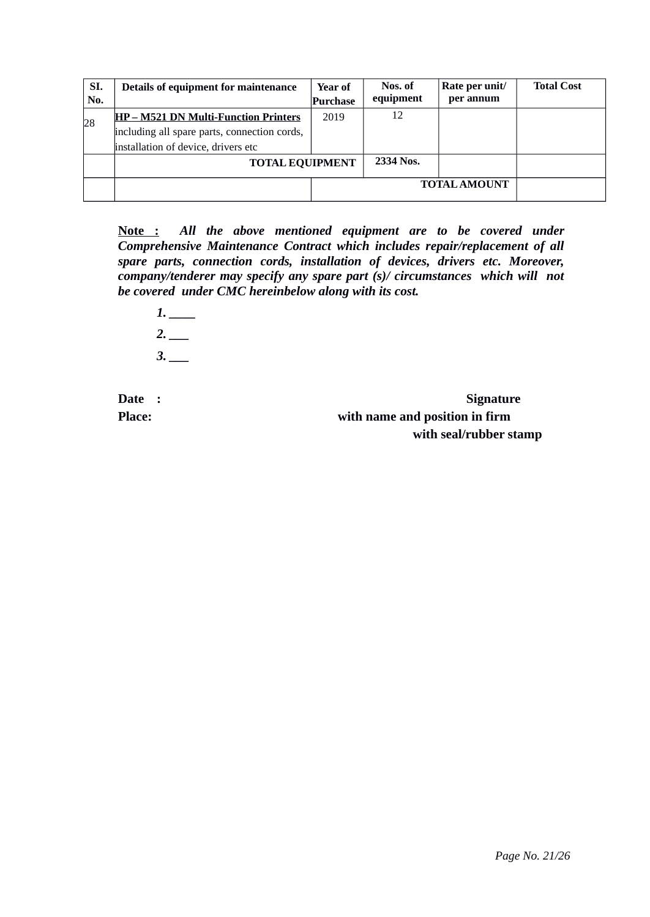| SI. | Details of equipment for maintenance         | Year of  | Nos. of   | Rate per unit/ | <b>Total Cost</b> |
|-----|----------------------------------------------|----------|-----------|----------------|-------------------|
| No. |                                              | Purchase | equipment | per annum      |                   |
| 28  | <b>HP-M521 DN Multi-Function Printers</b>    | 2019     | 12        |                |                   |
|     | including all spare parts, connection cords, |          |           |                |                   |
|     | installation of device, drivers etc          |          |           |                |                   |
|     | <b>TOTAL EQUIPMENT</b>                       |          | 2334 Nos. |                |                   |
|     |                                              |          |           |                |                   |

**Note :** *All the above mentioned equipment are to be covered under Comprehensive Maintenance Contract which includes repair/replacement of all spare parts, connection cords, installation of devices, drivers etc. Moreover, company/tenderer may specify any spare part (s)/ circumstances which will not be covered under CMC hereinbelow along with its cost.* 

*1. \_\_\_\_ 2. \_\_\_ 3. \_\_\_*

**Date : Signature Place: with name and position in firm with seal/rubber stamp**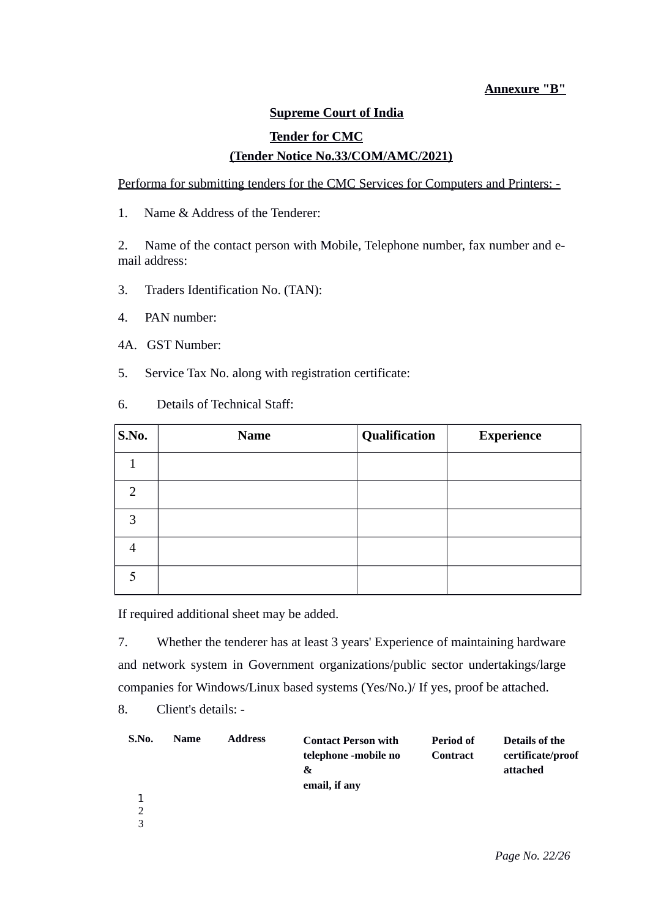#### **Annexure "B"**

## **Supreme Court of India**

## **Tender for CMC (Tender Notice No.33/COM/AMC/2021)**

Performa for submitting tenders for the CMC Services for Computers and Printers: -

1. Name & Address of the Tenderer:

2. Name of the contact person with Mobile, Telephone number, fax number and email address:

- 3. Traders Identification No. (TAN):
- 4. PAN number:
- 4A. GST Number:
- 5. Service Tax No. along with registration certificate:
- 6. Details of Technical Staff:

| S.No.          | <b>Name</b> | Qualification | <b>Experience</b> |
|----------------|-------------|---------------|-------------------|
| 1              |             |               |                   |
| $\overline{2}$ |             |               |                   |
| 3              |             |               |                   |
| 4              |             |               |                   |
| 5              |             |               |                   |

If required additional sheet may be added.

7. Whether the tenderer has at least 3 years' Experience of maintaining hardware and network system in Government organizations/public sector undertakings/large companies for Windows/Linux based systems (Yes/No.)/ If yes, proof be attached.

8. Client's details: -

| S.No.         | <b>Name</b> | <b>Address</b> | <b>Contact Person with</b><br>telephone -mobile no<br>&<br>email, if any | Period of<br><b>Contract</b> | Details of the<br>certificate/proof<br>attached |
|---------------|-------------|----------------|--------------------------------------------------------------------------|------------------------------|-------------------------------------------------|
|               |             |                |                                                                          |                              |                                                 |
| $\mathcal{D}$ |             |                |                                                                          |                              |                                                 |
| 3             |             |                |                                                                          |                              |                                                 |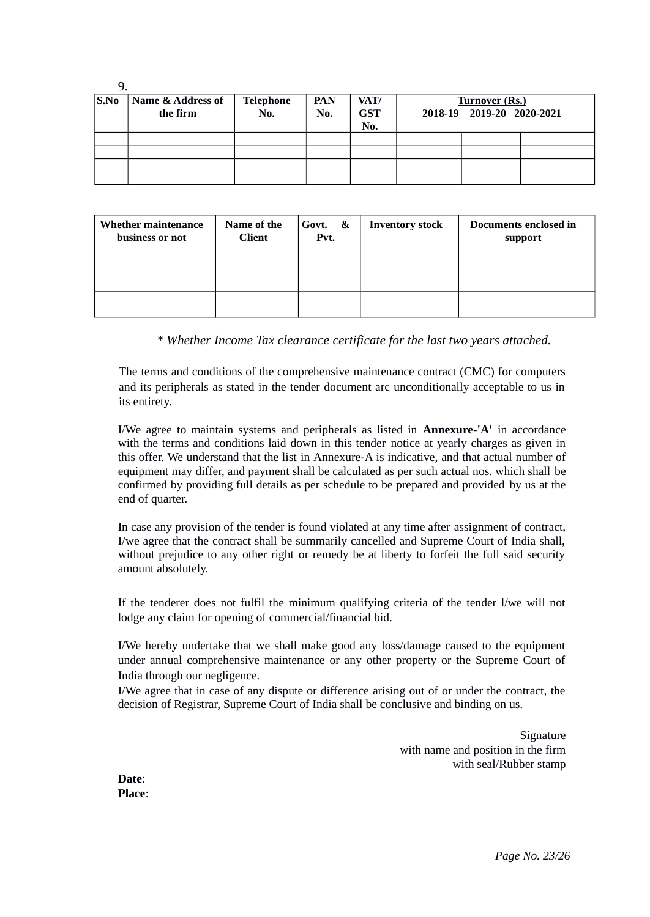| S.No | Name & Address of<br>the firm | <b>Telephone</b><br>No. | <b>PAN</b><br>No. | VAT/<br><b>GST</b><br>No. | <b>Turnover (Rs.)</b><br>2018-19 2019-20 2020-2021 |  |
|------|-------------------------------|-------------------------|-------------------|---------------------------|----------------------------------------------------|--|
|      |                               |                         |                   |                           |                                                    |  |
|      |                               |                         |                   |                           |                                                    |  |
|      |                               |                         |                   |                           |                                                    |  |

| <b>Whether maintenance</b> | Name of the   | Govt. & | <b>Inventory stock</b> | Documents enclosed in |
|----------------------------|---------------|---------|------------------------|-----------------------|
| business or not            | <b>Client</b> | Pvt.    |                        | support               |
|                            |               |         |                        |                       |

*\* Whether Income Tax clearance certificate for the last two years attached.*

The terms and conditions of the comprehensive maintenance contract (CMC) for computers and its peripherals as stated in the tender document arc unconditionally acceptable to us in its entirety.

I/We agree to maintain systems and peripherals as listed in **Annexure-'A'** in accordance with the terms and conditions laid down in this tender notice at yearly charges as given in this offer. We understand that the list in Annexure-A is indicative, and that actual number of equipment may differ, and payment shall be calculated as per such actual nos. which shall be confirmed by providing full details as per schedule to be prepared and provided by us at the end of quarter.

In case any provision of the tender is found violated at any time after assignment of contract, I/we agree that the contract shall be summarily cancelled and Supreme Court of India shall, without prejudice to any other right or remedy be at liberty to forfeit the full said security amount absolutely.

If the tenderer does not fulfil the minimum qualifying criteria of the tender l/we will not lodge any claim for opening of commercial/financial bid.

I/We hereby undertake that we shall make good any loss/damage caused to the equipment under annual comprehensive maintenance or any other property or the Supreme Court of India through our negligence.

I/We agree that in case of any dispute or difference arising out of or under the contract, the decision of Registrar, Supreme Court of India shall be conclusive and binding on us.

> Signature with name and position in the firm with seal/Rubber stamp

**Date**: **Place**: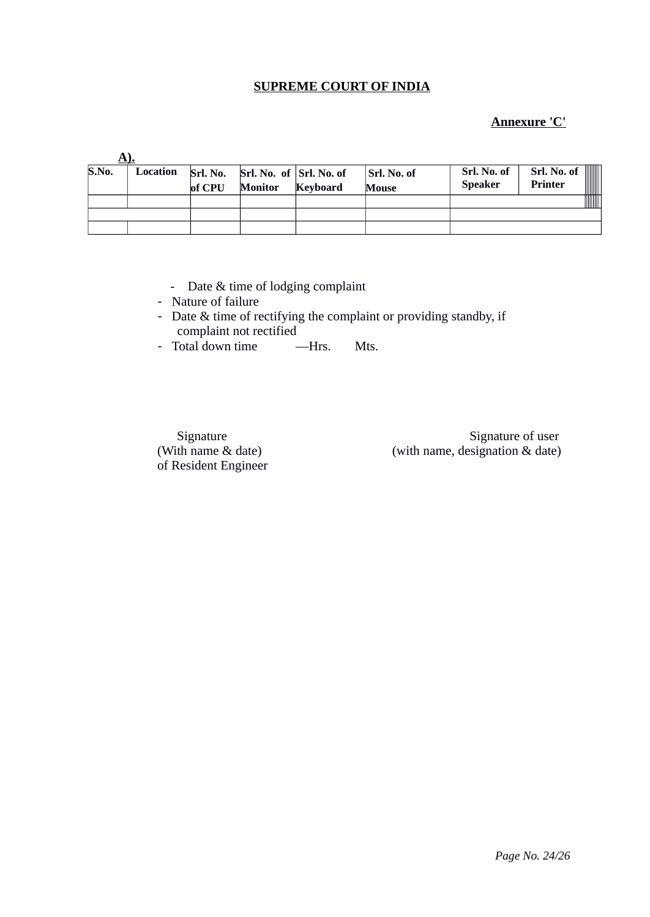#### **SUPREME COURT OF INDIA**

## **Annexure 'C'**

| S.No. | Location | of CPU | $\vert$ Srl. No. Srl. No. of $\vert$ Srl. No. of<br><b>Monitor</b> | Keyboard | Srl. No. of<br><b>Mouse</b> | Srl. No. of<br><b>Speaker</b> | Srl. No. of<br>Printer |
|-------|----------|--------|--------------------------------------------------------------------|----------|-----------------------------|-------------------------------|------------------------|
|       |          |        |                                                                    |          |                             |                               |                        |
|       |          |        |                                                                    |          |                             |                               |                        |
|       |          |        |                                                                    |          |                             |                               |                        |

- Date & time of lodging complaint
- Nature of failure
- Date & time of rectifying the complaint or providing standby, if complaint not rectified
- Total down time Hrs. Mts.

of Resident Engineer

Signature Signature of user (With name & date) (with name, designation & date)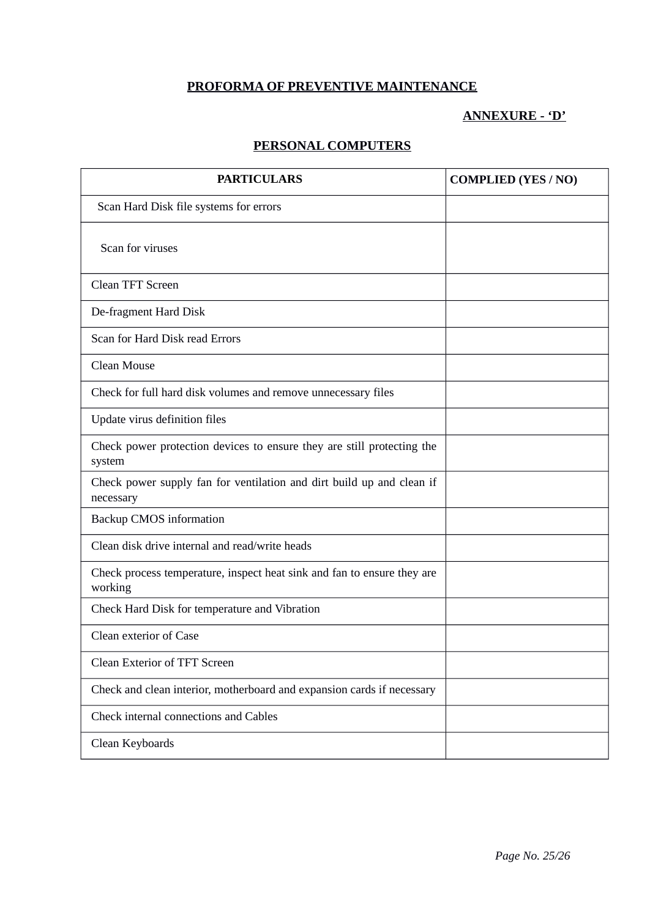# **PROFORMA OF PREVENTIVE MAINTENANCE**

# **ANNEXURE - 'D'**

## **PERSONAL COMPUTERS**

| <b>PARTICULARS</b>                                                                 | <b>COMPLIED (YES / NO)</b> |
|------------------------------------------------------------------------------------|----------------------------|
| Scan Hard Disk file systems for errors                                             |                            |
| Scan for viruses                                                                   |                            |
| <b>Clean TFT Screen</b>                                                            |                            |
| De-fragment Hard Disk                                                              |                            |
| Scan for Hard Disk read Errors                                                     |                            |
| Clean Mouse                                                                        |                            |
| Check for full hard disk volumes and remove unnecessary files                      |                            |
| Update virus definition files                                                      |                            |
| Check power protection devices to ensure they are still protecting the<br>system   |                            |
| Check power supply fan for ventilation and dirt build up and clean if<br>necessary |                            |
| <b>Backup CMOS information</b>                                                     |                            |
| Clean disk drive internal and read/write heads                                     |                            |
| Check process temperature, inspect heat sink and fan to ensure they are<br>working |                            |
| Check Hard Disk for temperature and Vibration                                      |                            |
| Clean exterior of Case                                                             |                            |
| <b>Clean Exterior of TFT Screen</b>                                                |                            |
| Check and clean interior, motherboard and expansion cards if necessary             |                            |
| Check internal connections and Cables                                              |                            |
| Clean Keyboards                                                                    |                            |